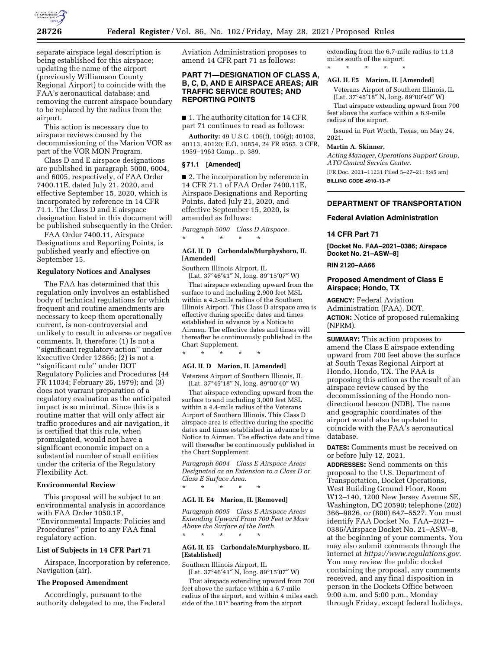

separate airspace legal description is being established for this airspace; updating the name of the airport (previously Williamson County Regional Airport) to coincide with the FAA's aeronautical database; and removing the current airspace boundary to be replaced by the radius from the airport.

This action is necessary due to airspace reviews caused by the decommissioning of the Marion VOR as part of the VOR MON Program.

Class D and E airspace designations are published in paragraph 5000, 6004, and 6005, respectively, of FAA Order 7400.11E, dated July 21, 2020, and effective September 15, 2020, which is incorporated by reference in 14 CFR 71.1. The Class D and E airspace designation listed in this document will be published subsequently in the Order.

FAA Order 7400.11, Airspace Designations and Reporting Points, is published yearly and effective on September 15.

#### **Regulatory Notices and Analyses**

The FAA has determined that this regulation only involves an established body of technical regulations for which frequent and routine amendments are necessary to keep them operationally current, is non-controversial and unlikely to result in adverse or negative comments. It, therefore: (1) Is not a ''significant regulatory action'' under Executive Order 12866; (2) is not a ''significant rule'' under DOT Regulatory Policies and Procedures (44 FR 11034; February 26, 1979); and (3) does not warrant preparation of a regulatory evaluation as the anticipated impact is so minimal. Since this is a routine matter that will only affect air traffic procedures and air navigation, it is certified that this rule, when promulgated, would not have a significant economic impact on a substantial number of small entities under the criteria of the Regulatory Flexibility Act.

### **Environmental Review**

This proposal will be subject to an environmental analysis in accordance with FAA Order 1050.1F, ''Environmental Impacts: Policies and Procedures'' prior to any FAA final regulatory action.

### **List of Subjects in 14 CFR Part 71**

Airspace, Incorporation by reference, Navigation (air).

## **The Proposed Amendment**

Accordingly, pursuant to the authority delegated to me, the Federal Aviation Administration proposes to amend 14 CFR part 71 as follows:

### **PART 71—DESIGNATION OF CLASS A, B, C, D, AND E AIRSPACE AREAS; AIR TRAFFIC SERVICE ROUTES; AND REPORTING POINTS**

■ 1. The authority citation for 14 CFR part 71 continues to read as follows:

**Authority:** 49 U.S.C. 106(f), 106(g); 40103, 40113, 40120; E.O. 10854, 24 FR 9565, 3 CFR, 1959–1963 Comp., p. 389.

### **§ 71.1 [Amended]**

■ 2. The incorporation by reference in 14 CFR 71.1 of FAA Order 7400.11E, Airspace Designations and Reporting Points, dated July 21, 2020, and effective September 15, 2020, is amended as follows:

*Paragraph 5000 Class D Airspace.*  \* \* \* \* \*

## **AGL IL D Carbondale/Murphysboro, IL [Amended]**

Southern Illinois Airport, IL

(Lat. 37°46′41″ N, long. 89°15′07″ W) That airspace extending upward from the surface to and including 2,900 feet MSL within a 4.2-mile radius of the Southern Illinois Airport. This Class D airspace area is effective during specific dates and times established in advance by a Notice to Airmen. The effective dates and times will thereafter be continuously published in the Chart Supplement.

\* \* \* \* \* **AGL IL D Marion, IL [Amended]** 

Veterans Airport of Southern Illinois, IL (Lat. 37°45′18″ N, long. 89°00′40″ W)

That airspace extending upward from the surface to and including 3,000 feet MSL within a 4.4-mile radius of the Veterans Airport of Southern Illinois. This Class D airspace area is effective during the specific dates and times established in advance by a Notice to Airmen. The effective date and time will thereafter be continuously published in the Chart Supplement.

*Paragraph 6004 Class E Airspace Areas Designated as an Extension to a Class D or Class E Surface Area.* 

#### **AGL IL E4 Marion, IL [Removed]**

\* \* \* \* \*

*Paragraph 6005 Class E Airspace Areas Extending Upward From 700 Feet or More Above the Surface of the Earth.*  \* \* \* \* \*

## **AGL IL E5 Carbondale/Murphysboro, IL [Established]**

Southern Illinois Airport, IL

(Lat. 37°46′41″ N, long. 89°15′07″ W) That airspace extending upward from 700 feet above the surface within a 6.7-mile radius of the airport, and within 4 miles each side of the 181° bearing from the airport

extending from the 6.7-mile radius to 11.8 miles south of the airport. \* \* \* \* \*

#### **AGL IL E5 Marion, IL [Amended]**

Veterans Airport of Southern Illinois, IL (Lat. 37°45′18″ N, long. 89°00′40″ W) That airspace extending upward from 700 feet above the surface within a 6.9-mile

radius of the airport. Issued in Fort Worth, Texas, on May 24,

## **Martin A. Skinner,**

2021.

*Acting Manager, Operations Support Group, ATO Central Service Center.*  [FR Doc. 2021–11231 Filed 5–27–21; 8:45 am] **BILLING CODE 4910–13–P** 

### **DEPARTMENT OF TRANSPORTATION**

#### **Federal Aviation Administration**

### **14 CFR Part 71**

**[Docket No. FAA–2021–0386; Airspace Docket No. 21–ASW–8]** 

### **RIN 2120–AA66**

### **Proposed Amendment of Class E Airspace; Hondo, TX**

**AGENCY:** Federal Aviation Administration (FAA), DOT. **ACTION:** Notice of proposed rulemaking (NPRM).

**SUMMARY:** This action proposes to amend the Class E airspace extending upward from 700 feet above the surface at South Texas Regional Airport at Hondo, Hondo, TX. The FAA is proposing this action as the result of an airspace review caused by the decommissioning of the Hondo nondirectional beacon (NDB). The name and geographic coordinates of the airport would also be updated to coincide with the FAA's aeronautical database.

**DATES:** Comments must be received on or before July 12, 2021.

**ADDRESSES:** Send comments on this proposal to the U.S. Department of Transportation, Docket Operations, West Building Ground Floor, Room W12–140, 1200 New Jersey Avenue SE, Washington, DC 20590; telephone (202) 366–9826, or (800) 647–5527. You must identify FAA Docket No. FAA–2021– 0386/Airspace Docket No. 21–ASW–8, at the beginning of your comments. You may also submit comments through the internet at *[https://www.regulations.gov.](https://www.regulations.gov)*  You may review the public docket containing the proposal, any comments received, and any final disposition in person in the Dockets Office between 9:00 a.m. and 5:00 p.m., Monday through Friday, except federal holidays.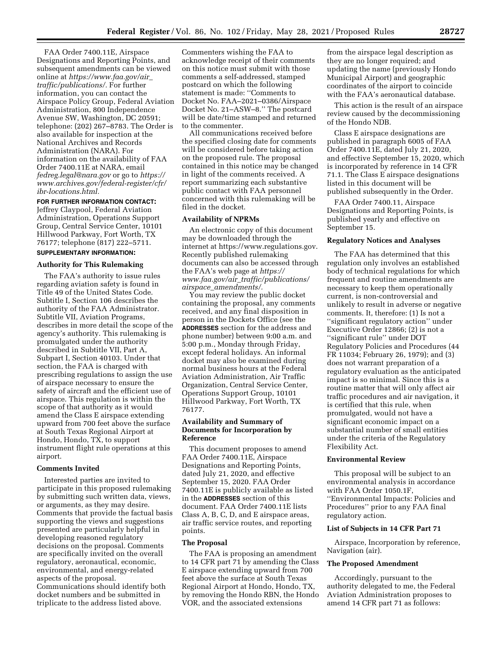FAA Order 7400.11E, Airspace Designations and Reporting Points, and subsequent amendments can be viewed online at *[https://www.faa.gov/air](https://www.faa.gov/air_traffic/publications/)*\_ *[traffic/publications/.](https://www.faa.gov/air_traffic/publications/)* For further information, you can contact the Airspace Policy Group, Federal Aviation Administration, 800 Independence Avenue SW, Washington, DC 20591; telephone: (202) 267–8783. The Order is also available for inspection at the National Archives and Records Administration (NARA). For information on the availability of FAA Order 7400.11E at NARA, email *[fedreg.legal@nara.gov](mailto:fedreg.legal@nara.gov)* or go to *[https://](https://www.archives.gov/federal-register/cfr/ibr-locations.html) [www.archives.gov/federal-register/cfr/](https://www.archives.gov/federal-register/cfr/ibr-locations.html)  [ibr-locations.html.](https://www.archives.gov/federal-register/cfr/ibr-locations.html)* 

### **FOR FURTHER INFORMATION CONTACT:**

Jeffrey Claypool, Federal Aviation Administration, Operations Support Group, Central Service Center, 10101 Hillwood Parkway, Fort Worth, TX 76177; telephone (817) 222–5711.

## **SUPPLEMENTARY INFORMATION:**

#### **Authority for This Rulemaking**

The FAA's authority to issue rules regarding aviation safety is found in Title 49 of the United States Code. Subtitle I, Section 106 describes the authority of the FAA Administrator. Subtitle VII, Aviation Programs, describes in more detail the scope of the agency's authority. This rulemaking is promulgated under the authority described in Subtitle VII, Part A, Subpart I, Section 40103. Under that section, the FAA is charged with prescribing regulations to assign the use of airspace necessary to ensure the safety of aircraft and the efficient use of airspace. This regulation is within the scope of that authority as it would amend the Class E airspace extending upward from 700 feet above the surface at South Texas Regional Airport at Hondo, Hondo, TX, to support instrument flight rule operations at this airport.

### **Comments Invited**

Interested parties are invited to participate in this proposed rulemaking by submitting such written data, views, or arguments, as they may desire. Comments that provide the factual basis supporting the views and suggestions presented are particularly helpful in developing reasoned regulatory decisions on the proposal. Comments are specifically invited on the overall regulatory, aeronautical, economic, environmental, and energy-related aspects of the proposal. Communications should identify both docket numbers and be submitted in triplicate to the address listed above.

Commenters wishing the FAA to acknowledge receipt of their comments on this notice must submit with those comments a self-addressed, stamped postcard on which the following statement is made: ''Comments to Docket No. FAA–2021–0386/Airspace Docket No. 21–ASW–8.'' The postcard will be date/time stamped and returned to the commenter.

All communications received before the specified closing date for comments will be considered before taking action on the proposed rule. The proposal contained in this notice may be changed in light of the comments received. A report summarizing each substantive public contact with FAA personnel concerned with this rulemaking will be filed in the docket.

### **Availability of NPRMs**

An electronic copy of this document may be downloaded through the internet at [https://www.regulations.gov.](https://www.regulations.gov)  Recently published rulemaking documents can also be accessed through the FAA's web page at *[https://](https://www.faa.gov/air_traffic/publications/airspace_amendments/) www.faa.gov/air*\_*[traffic/publications/](https://www.faa.gov/air_traffic/publications/airspace_amendments/) airspace*\_*[amendments/.](https://www.faa.gov/air_traffic/publications/airspace_amendments/)* 

You may review the public docket containing the proposal, any comments received, and any final disposition in person in the Dockets Office (see the **ADDRESSES** section for the address and phone number) between 9:00 a.m. and 5:00 p.m., Monday through Friday, except federal holidays. An informal docket may also be examined during normal business hours at the Federal Aviation Administration, Air Traffic Organization, Central Service Center, Operations Support Group, 10101 Hillwood Parkway, Fort Worth, TX 76177.

### **Availability and Summary of Documents for Incorporation by Reference**

This document proposes to amend FAA Order 7400.11E, Airspace Designations and Reporting Points, dated July 21, 2020, and effective September 15, 2020. FAA Order 7400.11E is publicly available as listed in the **ADDRESSES** section of this document. FAA Order 7400.11E lists Class A, B, C, D, and E airspace areas, air traffic service routes, and reporting points.

### **The Proposal**

The FAA is proposing an amendment to 14 CFR part 71 by amending the Class E airspace extending upward from 700 feet above the surface at South Texas Regional Airport at Hondo, Hondo, TX, by removing the Hondo RBN, the Hondo VOR, and the associated extensions

from the airspace legal description as they are no longer required; and updating the name (previously Hondo Municipal Airport) and geographic coordinates of the airport to coincide with the FAA's aeronautical database.

This action is the result of an airspace review caused by the decommissioning of the Hondo NDB.

Class E airspace designations are published in paragraph 6005 of FAA Order 7400.11E, dated July 21, 2020, and effective September 15, 2020, which is incorporated by reference in 14 CFR 71.1. The Class E airspace designations listed in this document will be published subsequently in the Order.

FAA Order 7400.11, Airspace Designations and Reporting Points, is published yearly and effective on September 15.

#### **Regulatory Notices and Analyses**

The FAA has determined that this regulation only involves an established body of technical regulations for which frequent and routine amendments are necessary to keep them operationally current, is non-controversial and unlikely to result in adverse or negative comments. It, therefore: (1) Is not a ''significant regulatory action'' under Executive Order 12866; (2) is not a ''significant rule'' under DOT Regulatory Policies and Procedures (44 FR 11034; February 26, 1979); and (3) does not warrant preparation of a regulatory evaluation as the anticipated impact is so minimal. Since this is a routine matter that will only affect air traffic procedures and air navigation, it is certified that this rule, when promulgated, would not have a significant economic impact on a substantial number of small entities under the criteria of the Regulatory Flexibility Act.

### **Environmental Review**

This proposal will be subject to an environmental analysis in accordance with FAA Order 1050.1F, ''Environmental Impacts: Policies and Procedures'' prior to any FAA final regulatory action.

#### **List of Subjects in 14 CFR Part 71**

Airspace, Incorporation by reference, Navigation (air).

#### **The Proposed Amendment**

Accordingly, pursuant to the authority delegated to me, the Federal Aviation Administration proposes to amend 14 CFR part 71 as follows: